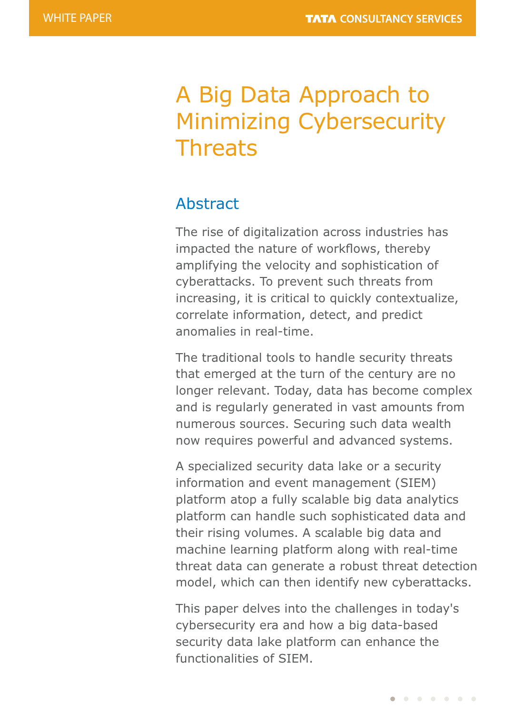# A Big Data Approach to Minimizing Cybersecurity **Threats**

## Abstract

The rise of digitalization across industries has impacted the nature of workflows, thereby amplifying the velocity and sophistication of cyberattacks. To prevent such threats from increasing, it is critical to quickly contextualize, correlate information, detect, and predict anomalies in real-time.

The traditional tools to handle security threats that emerged at the turn of the century are no longer relevant. Today, data has become complex and is regularly generated in vast amounts from numerous sources. Securing such data wealth now requires powerful and advanced systems.

A specialized security data lake or a security information and event management (SIEM) platform atop a fully scalable big data analytics platform can handle such sophisticated data and their rising volumes. A scalable big data and machine learning platform along with real-time threat data can generate a robust threat detection model, which can then identify new cyberattacks.

This paper delves into the challenges in today's cybersecurity era and how a big data-based security data lake platform can enhance the functionalities of SIEM.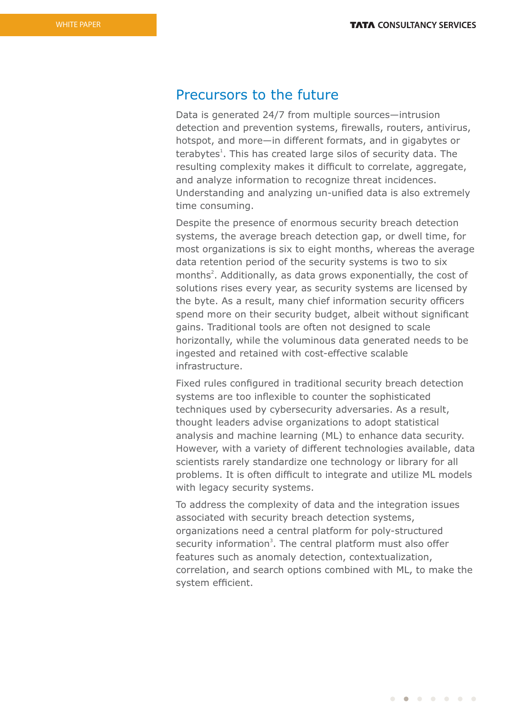#### Precursors to the future

Data is generated 24/7 from multiple sources—intrusion detection and prevention systems, firewalls, routers, antivirus, hotspot, and more—in different formats, and in gigabytes or terabytes<sup>1</sup>. This has created large silos of security data. The resulting complexity makes it difficult to correlate, aggregate, and analyze information to recognize threat incidences. Understanding and analyzing un-unified data is also extremely time consuming.

Despite the presence of enormous security breach detection systems, the average breach detection gap, or dwell time, for most organizations is six to eight months, whereas the average data retention period of the security systems is two to six months<sup>2</sup>. Additionally, as data grows exponentially, the cost of solutions rises every year, as security systems are licensed by the byte. As a result, many chief information security officers spend more on their security budget, albeit without significant gains. Traditional tools are often not designed to scale horizontally, while the voluminous data generated needs to be ingested and retained with cost-effective scalable infrastructure.

Fixed rules configured in traditional security breach detection systems are too inflexible to counter the sophisticated techniques used by cybersecurity adversaries. As a result, thought leaders advise organizations to adopt statistical analysis and machine learning (ML) to enhance data security. However, with a variety of different technologies available, data scientists rarely standardize one technology or library for all problems. It is often difficult to integrate and utilize ML models with legacy security systems.

To address the complexity of data and the integration issues associated with security breach detection systems, organizations need a central platform for poly-structured security information<sup>3</sup>. The central platform must also offer features such as anomaly detection, contextualization, correlation, and search options combined with ML, to make the system efficient.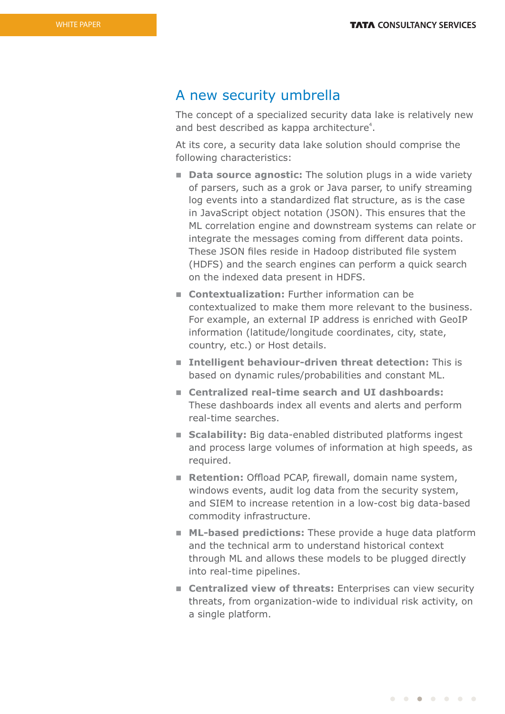### A new security umbrella

The concept of a specialized security data lake is relatively new and best described as kappa architecture<sup>4</sup>.

At its core, a security data lake solution should comprise the following characteristics:

- **n Data source agnostic:** The solution plugs in a wide variety of parsers, such as a grok or Java parser, to unify streaming log events into a standardized flat structure, as is the case in JavaScript object notation (JSON). This ensures that the ML correlation engine and downstream systems can relate or integrate the messages coming from different data points. These JSON files reside in Hadoop distributed file system (HDFS) and the search engines can perform a quick search on the indexed data present in HDFS.
- n **Contextualization:** Further information can be contextualized to make them more relevant to the business. For example, an external IP address is enriched with GeoIP information (latitude/longitude coordinates, city, state, country, etc.) or Host details.
- n **Intelligent behaviour-driven threat detection:** This is based on dynamic rules/probabilities and constant ML.
- Centralized real-time search and UI dashboards: These dashboards index all events and alerts and perform real-time searches.
- **Example 1** Scalability: Big data-enabled distributed platforms ingest and process large volumes of information at high speeds, as required.
- **Retention:** Offload PCAP, firewall, domain name system, windows events, audit log data from the security system, and SIEM to increase retention in a low-cost big data-based commodity infrastructure.
- **n** ML-based predictions: These provide a huge data platform and the technical arm to understand historical context through ML and allows these models to be plugged directly into real-time pipelines.
- **Example 2** Centralized view of threats: Enterprises can view security threats, from organization-wide to individual risk activity, on a single platform.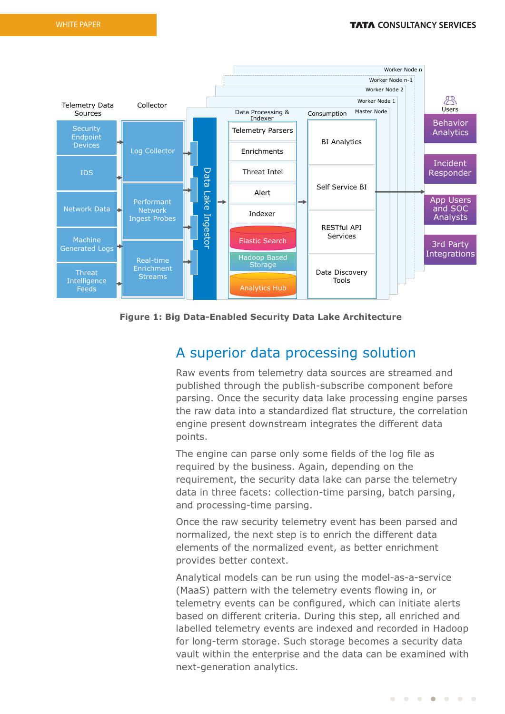

**Figure 1: Big Data-Enabled Security Data Lake Architecture**

## A superior data processing solution

Raw events from telemetry data sources are streamed and published through the publish-subscribe component before parsing. Once the security data lake processing engine parses the raw data into a standardized flat structure, the correlation engine present downstream integrates the different data points.

The engine can parse only some fields of the log file as required by the business. Again, depending on the requirement, the security data lake can parse the telemetry data in three facets: collection-time parsing, batch parsing, and processing-time parsing.

Once the raw security telemetry event has been parsed and normalized, the next step is to enrich the different data elements of the normalized event, as better enrichment provides better context.

Analytical models can be run using the model-as-a-service (MaaS) pattern with the telemetry events flowing in, or telemetry events can be configured, which can initiate alerts based on different criteria. During this step, all enriched and labelled telemetry events are indexed and recorded in Hadoop for long-term storage. Such storage becomes a security data vault within the enterprise and the data can be examined with next-generation analytics.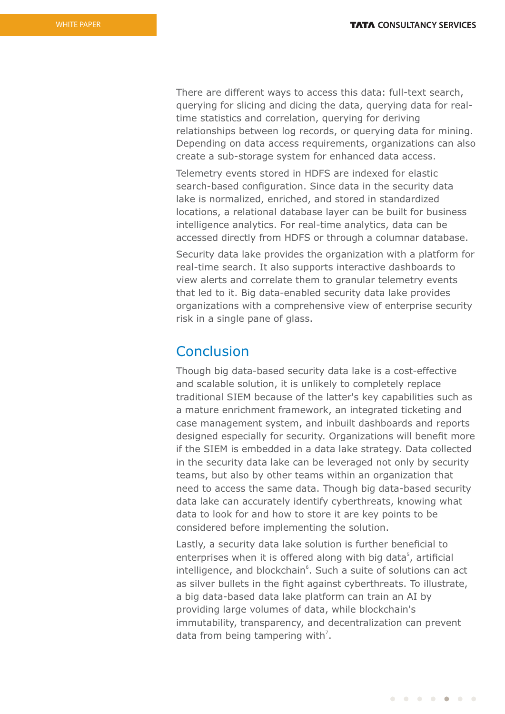There are different ways to access this data: full-text search, querying for slicing and dicing the data, querying data for realtime statistics and correlation, querying for deriving relationships between log records, or querying data for mining. Depending on data access requirements, organizations can also create a sub-storage system for enhanced data access.

Telemetry events stored in HDFS are indexed for elastic search-based configuration. Since data in the security data lake is normalized, enriched, and stored in standardized locations, a relational database layer can be built for business intelligence analytics. For real-time analytics, data can be accessed directly from HDFS or through a columnar database.

Security data lake provides the organization with a platform for real-time search. It also supports interactive dashboards to view alerts and correlate them to granular telemetry events that led to it. Big data-enabled security data lake provides organizations with a comprehensive view of enterprise security risk in a single pane of glass.

## Conclusion

Though big data-based security data lake is a cost-effective and scalable solution, it is unlikely to completely replace traditional SIEM because of the latter's key capabilities such as a mature enrichment framework, an integrated ticketing and case management system, and inbuilt dashboards and reports designed especially for security. Organizations will benefit more if the SIEM is embedded in a data lake strategy. Data collected in the security data lake can be leveraged not only by security teams, but also by other teams within an organization that need to access the same data. Though big data-based security data lake can accurately identify cyberthreats, knowing what data to look for and how to store it are key points to be considered before implementing the solution.

Lastly, a security data lake solution is further beneficial to enterprises when it is offered along with big data<sup>5</sup>, artificial intelligence, and blockchain<sup>6</sup>. Such a suite of solutions can act as silver bullets in the fight against cyberthreats. To illustrate, a big data-based data lake platform can train an AI by providing large volumes of data, while blockchain's immutability, transparency, and decentralization can prevent data from being tampering with<sup>7</sup>.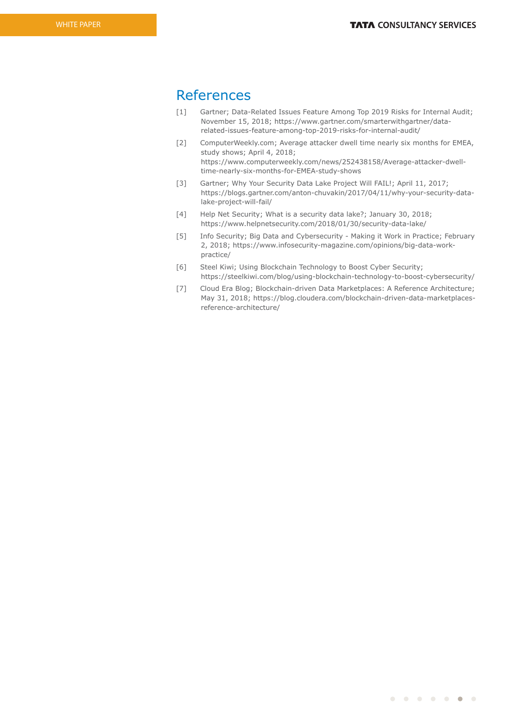## References

- [1] Gartner; Data-Related Issues Feature Among Top 2019 Risks for Internal Audit; November 15, 2018; https://www.gartner.com/smarterwithgartner/datarelated-issues-feature-among-top-2019-risks-for-internal-audit/
- [2] ComputerWeekly.com; Average attacker dwell time nearly six months for EMEA, study shows; April 4, 2018; https://www.computerweekly.com/news/252438158/Average-attacker-dwelltime-nearly-six-months-for-EMEA-study-shows
- [3] Gartner; Why Your Security Data Lake Project Will FAIL!; April 11, 2017; https://blogs.gartner.com/anton-chuvakin/2017/04/11/why-your-security-datalake-project-will-fail/
- [4] Help Net Security; What is a security data lake?; January 30, 2018; https://www.helpnetsecurity.com/2018/01/30/security-data-lake/
- [5] Info Security; Big Data and Cybersecurity Making it Work in Practice; February 2, 2018; https://www.infosecurity-magazine.com/opinions/big-data-workpractice/
- [6] Steel Kiwi; Using Blockchain Technology to Boost Cyber Security; https://steelkiwi.com/blog/using-blockchain-technology-to-boost-cybersecurity/
- [7] Cloud Era Blog; Blockchain-driven Data Marketplaces: A Reference Architecture; May 31, 2018; https://blog.cloudera.com/blockchain-driven-data-marketplacesreference-architecture/